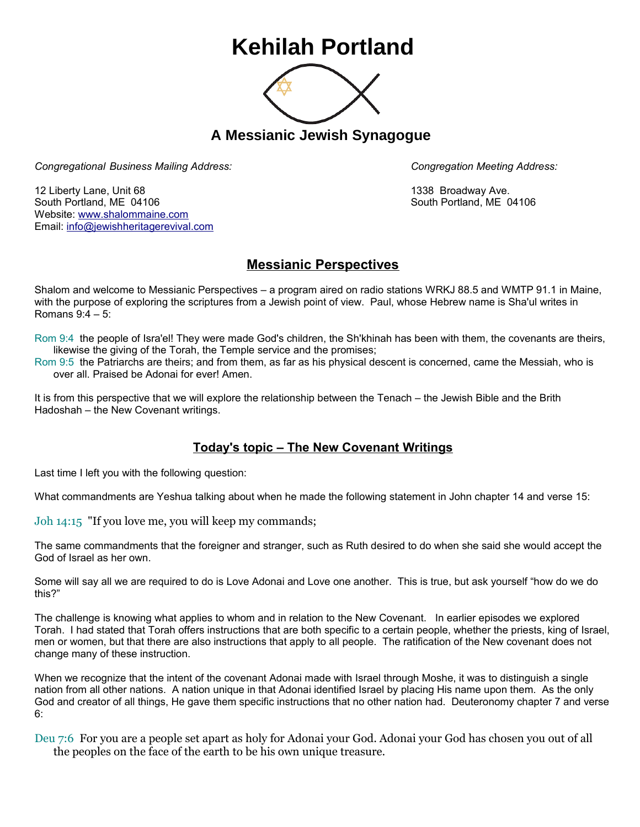## **Kehilah Portland**



**A Messianic Jewish Synagogue** 

*Congregational Business Mailing Address: Congregation Meeting Address:*

12 Liberty Lane, Unit 68 1338 Broadway Ave. South Portland, ME 04106 South Portland, ME 04106 Website: [www.shalommaine.com](http://www.shalommaine.com/) Email: [info@jewishheritagerevival.com](mailto:info@jewishheritagerevival.com) 

## **Messianic Perspectives**

Shalom and welcome to Messianic Perspectives – a program aired on radio stations WRKJ 88.5 and WMTP 91.1 in Maine, with the purpose of exploring the scriptures from a Jewish point of view. Paul, whose Hebrew name is Sha'ul writes in Romans 9:4 – 5:

Rom 9:4 the people of Isra'el! They were made God's children, the Sh'khinah has been with them, the covenants are theirs, likewise the giving of the Torah, the Temple service and the promises;

Rom 9:5 the Patriarchs are theirs; and from them, as far as his physical descent is concerned, came the Messiah, who is over all. Praised be Adonai for ever! Amen.

It is from this perspective that we will explore the relationship between the Tenach – the Jewish Bible and the Brith Hadoshah – the New Covenant writings.

## **Today's topic – The New Covenant Writings**

Last time I left you with the following question:

What commandments are Yeshua talking about when he made the following statement in John chapter 14 and verse 15:

Joh 14:15 "If you love me, you will keep my commands;

The same commandments that the foreigner and stranger, such as Ruth desired to do when she said she would accept the God of Israel as her own.

Some will say all we are required to do is Love Adonai and Love one another. This is true, but ask yourself "how do we do this?"

The challenge is knowing what applies to whom and in relation to the New Covenant. In earlier episodes we explored Torah. I had stated that Torah offers instructions that are both specific to a certain people, whether the priests, king of Israel, men or women, but that there are also instructions that apply to all people. The ratification of the New covenant does not change many of these instruction.

When we recognize that the intent of the covenant Adonai made with Israel through Moshe, it was to distinguish a single nation from all other nations. A nation unique in that Adonai identified Israel by placing His name upon them. As the only God and creator of all things, He gave them specific instructions that no other nation had. Deuteronomy chapter 7 and verse 6:

Deu 7:6 For you are a people set apart as holy for Adonai your God. Adonai your God has chosen you out of all the peoples on the face of the earth to be his own unique treasure.